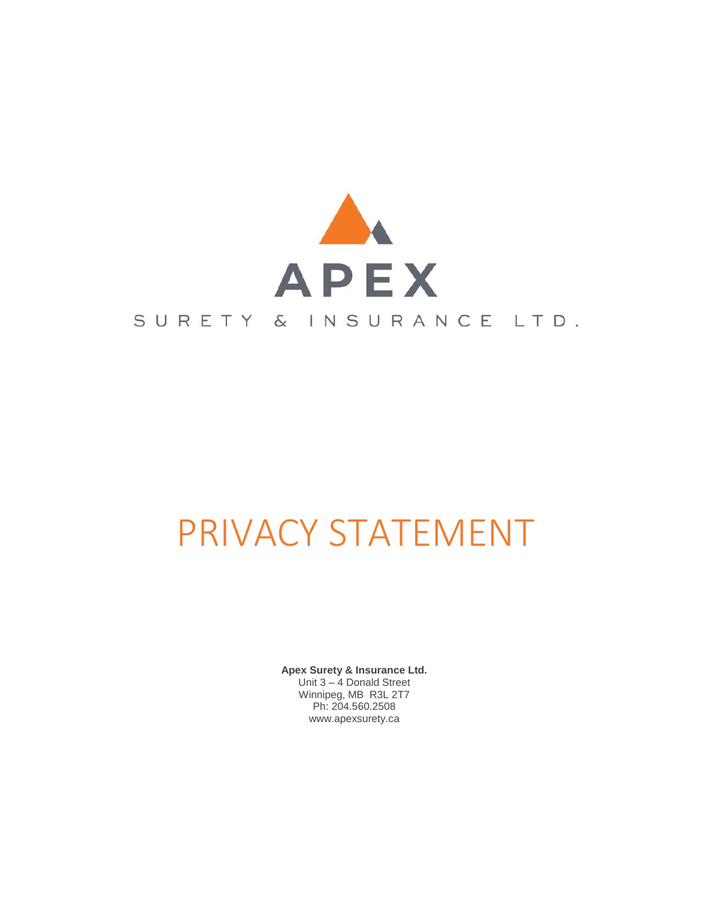

# PRIVACY STATEMENT

**Apex Surety & Insurance Ltd.** Unit 3 – 4 Donald Street Winnipeg, MB R3L 2T7 Ph: 204.560.2508 www.apexsurety.ca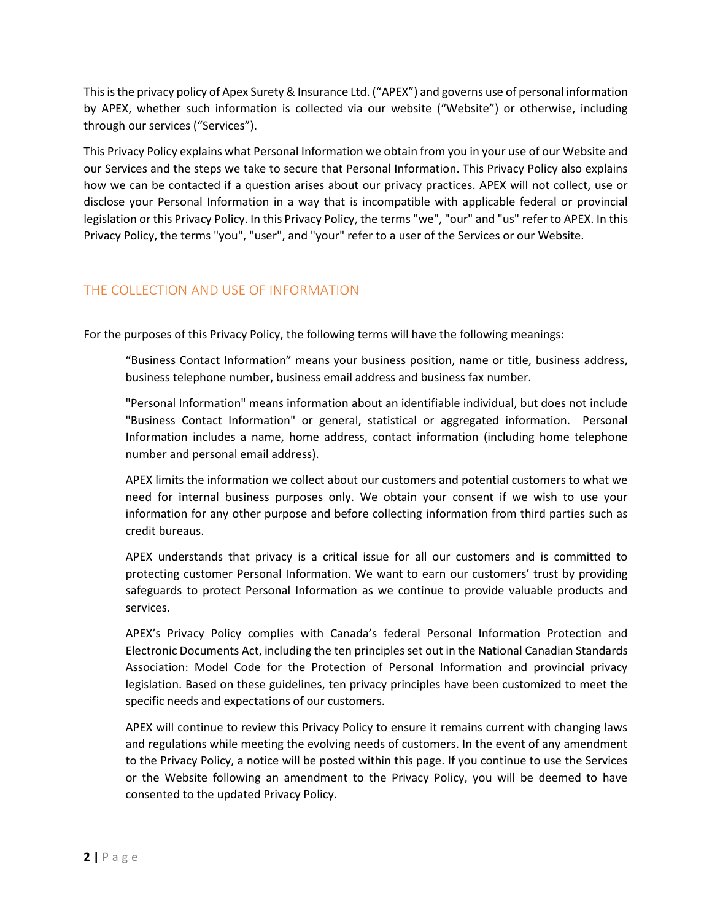This is the privacy policy of Apex Surety & Insurance Ltd. ("APEX") and governs use of personal information by APEX, whether such information is collected via our website ("Website") or otherwise, including through our services ("Services").

This Privacy Policy explains what Personal Information we obtain from you in your use of our Website and our Services and the steps we take to secure that Personal Information. This Privacy Policy also explains how we can be contacted if a question arises about our privacy practices. APEX will not collect, use or disclose your Personal Information in a way that is incompatible with applicable federal or provincial legislation or this Privacy Policy. In this Privacy Policy, the terms "we", "our" and "us" refer to APEX. In this Privacy Policy, the terms "you", "user", and "your" refer to a user of the Services or our Website.

# THE COLLECTION AND USE OF INFORMATION

For the purposes of this Privacy Policy, the following terms will have the following meanings:

"Business Contact Information" means your business position, name or title, business address, business telephone number, business email address and business fax number.

"Personal Information" means information about an identifiable individual, but does not include "Business Contact Information" or general, statistical or aggregated information. Personal Information includes a name, home address, contact information (including home telephone number and personal email address).

APEX limits the information we collect about our customers and potential customers to what we need for internal business purposes only. We obtain your consent if we wish to use your information for any other purpose and before collecting information from third parties such as credit bureaus.

APEX understands that privacy is a critical issue for all our customers and is committed to protecting customer Personal Information. We want to earn our customers' trust by providing safeguards to protect Personal Information as we continue to provide valuable products and services.

APEX's Privacy Policy complies with Canada's federal Personal Information Protection and Electronic Documents Act, including the ten principles set out in the National Canadian Standards Association: Model Code for the Protection of Personal Information and provincial privacy legislation. Based on these guidelines, ten privacy principles have been customized to meet the specific needs and expectations of our customers.

APEX will continue to review this Privacy Policy to ensure it remains current with changing laws and regulations while meeting the evolving needs of customers. In the event of any amendment to the Privacy Policy, a notice will be posted within this page. If you continue to use the Services or the Website following an amendment to the Privacy Policy, you will be deemed to have consented to the updated Privacy Policy.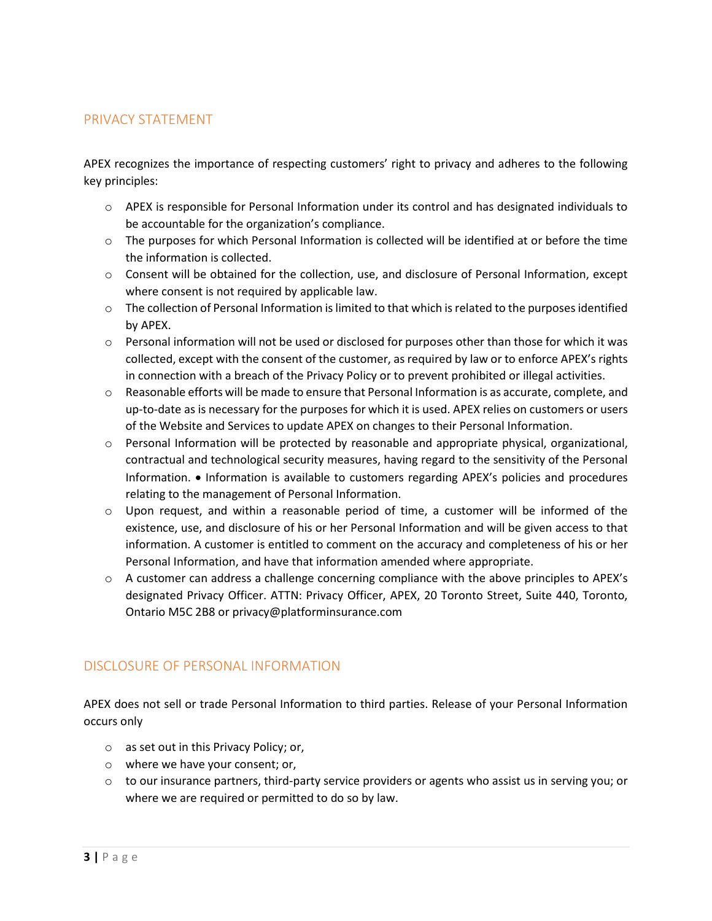#### PRIVACY STATEMENT

APEX recognizes the importance of respecting customers' right to privacy and adheres to the following key principles:

- o APEX is responsible for Personal Information under its control and has designated individuals to be accountable for the organization's compliance.
- $\circ$  The purposes for which Personal Information is collected will be identified at or before the time the information is collected.
- o Consent will be obtained for the collection, use, and disclosure of Personal Information, except where consent is not required by applicable law.
- $\circ$  The collection of Personal Information is limited to that which is related to the purposes identified by APEX.
- $\circ$  Personal information will not be used or disclosed for purposes other than those for which it was collected, except with the consent of the customer, as required by law or to enforce APEX's rights in connection with a breach of the Privacy Policy or to prevent prohibited or illegal activities.
- o Reasonable efforts will be made to ensure that Personal Information is as accurate, complete, and up-to-date as is necessary for the purposes for which it is used. APEX relies on customers or users of the Website and Services to update APEX on changes to their Personal Information.
- $\circ$  Personal Information will be protected by reasonable and appropriate physical, organizational, contractual and technological security measures, having regard to the sensitivity of the Personal Information. • Information is available to customers regarding APEX's policies and procedures relating to the management of Personal Information.
- o Upon request, and within a reasonable period of time, a customer will be informed of the existence, use, and disclosure of his or her Personal Information and will be given access to that information. A customer is entitled to comment on the accuracy and completeness of his or her Personal Information, and have that information amended where appropriate.
- $\circ$  A customer can address a challenge concerning compliance with the above principles to APEX's designated Privacy Officer. ATTN: Privacy Officer, APEX, 20 Toronto Street, Suite 440, Toronto, Ontario M5C 2B8 or privacy@platforminsurance.com

#### DISCLOSURE OF PERSONAL INFORMATION

APEX does not sell or trade Personal Information to third parties. Release of your Personal Information occurs only

- o as set out in this Privacy Policy; or,
- o where we have your consent; or,
- $\circ$  to our insurance partners, third-party service providers or agents who assist us in serving you; or where we are required or permitted to do so by law.